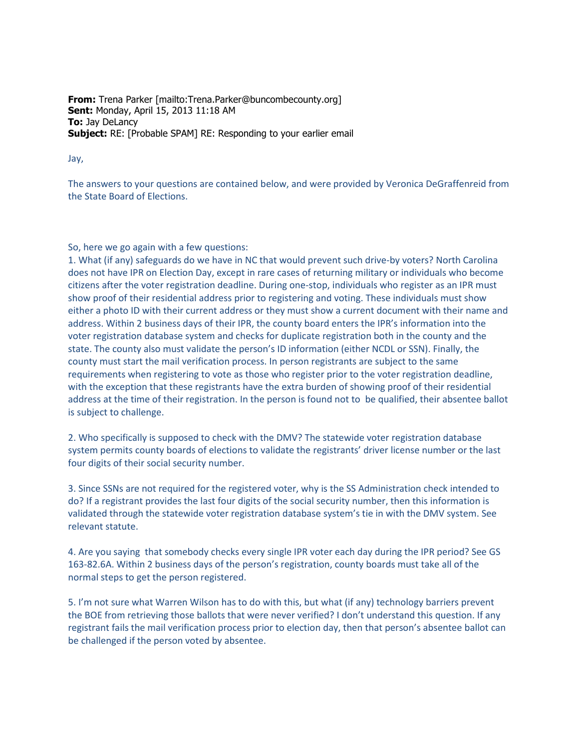**From:** Trena Parker [mailto:Trena.Parker@buncombecounty.org] **Sent:** Monday, April 15, 2013 11:18 AM **To:** Jay DeLancy **Subject:** RE: [Probable SPAM] RE: Responding to your earlier email

## Jay,

The answers to your questions are contained below, and were provided by Veronica DeGraffenreid from the State Board of Elections.

## So, here we go again with a few questions:

1. What (if any) safeguards do we have in NC that would prevent such drive-by voters? North Carolina does not have IPR on Election Day, except in rare cases of returning military or individuals who become citizens after the voter registration deadline. During one-stop, individuals who register as an IPR must show proof of their residential address prior to registering and voting. These individuals must show either a photo ID with their current address or they must show a current document with their name and address. Within 2 business days of their IPR, the county board enters the IPR's information into the voter registration database system and checks for duplicate registration both in the county and the state. The county also must validate the person's ID information (either NCDL or SSN). Finally, the county must start the mail verification process. In person registrants are subject to the same requirements when registering to vote as those who register prior to the voter registration deadline, with the exception that these registrants have the extra burden of showing proof of their residential address at the time of their registration. In the person is found not to be qualified, their absentee ballot is subject to challenge.

2. Who specifically is supposed to check with the DMV? The statewide voter registration database system permits county boards of elections to validate the registrants' driver license number or the last four digits of their social security number.

3. Since SSNs are not required for the registered voter, why is the SS Administration check intended to do? If a registrant provides the last four digits of the social security number, then this information is validated through the statewide voter registration database system's tie in with the DMV system. See relevant statute.

4. Are you saying that somebody checks every single IPR voter each day during the IPR period? See GS 163-82.6A. Within 2 business days of the person's registration, county boards must take all of the normal steps to get the person registered.

5. I'm not sure what Warren Wilson has to do with this, but what (if any) technology barriers prevent the BOE from retrieving those ballots that were never verified? I don't understand this question. If any registrant fails the mail verification process prior to election day, then that person's absentee ballot can be challenged if the person voted by absentee.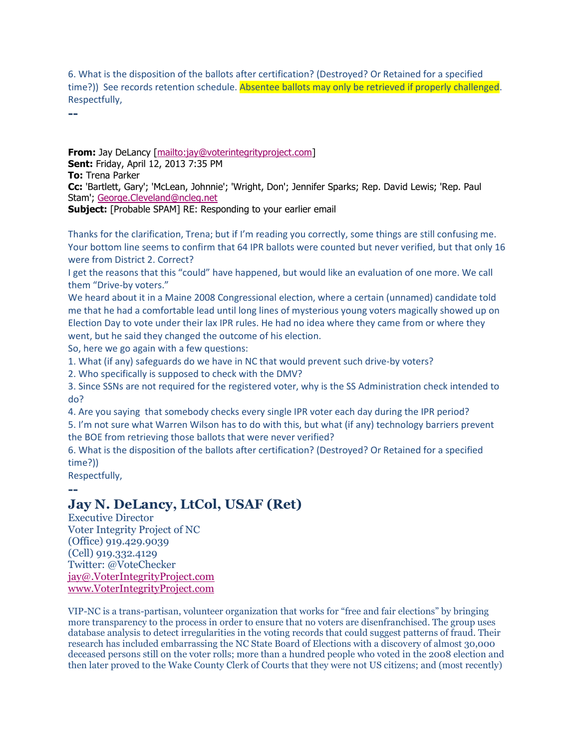6. What is the disposition of the ballots after certification? (Destroyed? Or Retained for a specified time?)) See records retention schedule. Absentee ballots may only be retrieved if properly challenged. Respectfully,

**--**

**From:** Jay DeLancy [\[mailto:jay@voterintegrityproject.com\]](mailto:jay@voterintegrityproject.com) **Sent:** Friday, April 12, 2013 7:35 PM **To:** Trena Parker **Cc:** 'Bartlett, Gary'; 'McLean, Johnnie'; 'Wright, Don'; Jennifer Sparks; Rep. David Lewis; 'Rep. Paul Stam'; [George.Cleveland@ncleg.net](mailto:George.Cleveland@ncleg.net)

**Subject:** [Probable SPAM] RE: Responding to your earlier email

Thanks for the clarification, Trena; but if I'm reading you correctly, some things are still confusing me. Your bottom line seems to confirm that 64 IPR ballots were counted but never verified, but that only 16 were from District 2. Correct?

I get the reasons that this "could" have happened, but would like an evaluation of one more. We call them "Drive-by voters."

We heard about it in a Maine 2008 Congressional election, where a certain (unnamed) candidate told me that he had a comfortable lead until long lines of mysterious young voters magically showed up on Election Day to vote under their lax IPR rules. He had no idea where they came from or where they went, but he said they changed the outcome of his election.

So, here we go again with a few questions:

1. What (if any) safeguards do we have in NC that would prevent such drive-by voters?

2. Who specifically is supposed to check with the DMV?

3. Since SSNs are not required for the registered voter, why is the SS Administration check intended to do?

4. Are you saying that somebody checks every single IPR voter each day during the IPR period?

5. I'm not sure what Warren Wilson has to do with this, but what (if any) technology barriers prevent the BOE from retrieving those ballots that were never verified?

6. What is the disposition of the ballots after certification? (Destroyed? Or Retained for a specified time?))

Respectfully,

## **-- Jay N. DeLancy, LtCol, USAF (Ret)**

Executive Director Voter Integrity Project of NC (Office) 919.429.9039 (Cell) 919.332.4129 Twitter: @VoteChecker [jay@.VoterIntegrityProject.com](mailto:jay@.VoterIntegrityProject.com) [www.VoterIntegrityProject.com](http://www.voterintegrityproject.com/)

VIP-NC is a trans-partisan, volunteer organization that works for "free and fair elections" by bringing more transparency to the process in order to ensure that no voters are disenfranchised. The group uses database analysis to detect irregularities in the voting records that could suggest patterns of fraud. Their research has included embarrassing the NC State Board of Elections with a discovery of almost 30,000 deceased persons still on the voter rolls; more than a hundred people who voted in the 2008 election and then later proved to the Wake County Clerk of Courts that they were not US citizens; and (most recently)